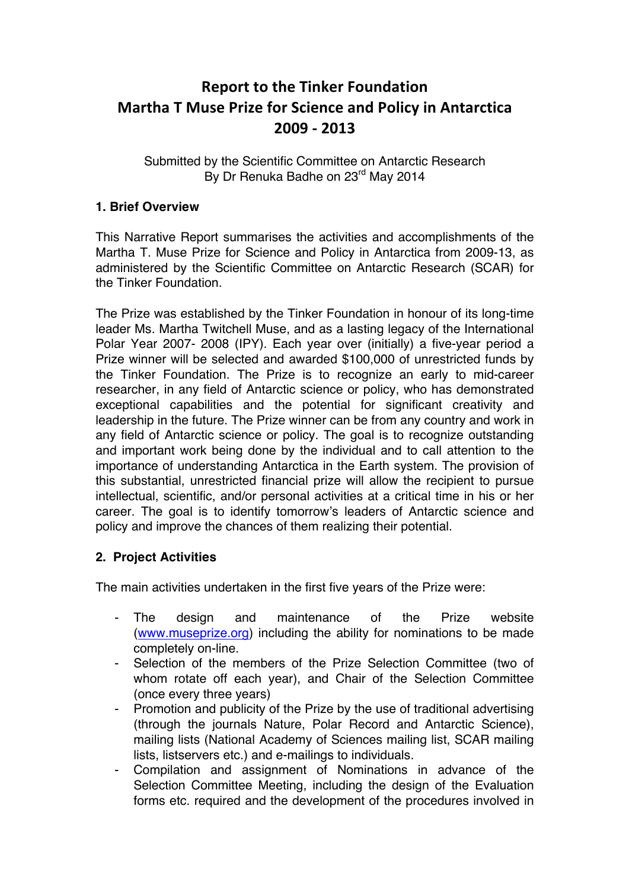# **Report to the Tinker Foundation Martha T Muse Prize for Science and Policy in Antarctica 2009 - 2013**

Submitted by the Scientific Committee on Antarctic Research By Dr Renuka Badhe on 23<sup>rd</sup> May 2014

### **1. Brief Overview**

This Narrative Report summarises the activities and accomplishments of the Martha T. Muse Prize for Science and Policy in Antarctica from 2009-13, as administered by the Scientific Committee on Antarctic Research (SCAR) for the Tinker Foundation.

The Prize was established by the Tinker Foundation in honour of its long-time leader Ms. Martha Twitchell Muse, and as a lasting legacy of the International Polar Year 2007- 2008 (IPY). Each year over (initially) a five-year period a Prize winner will be selected and awarded \$100,000 of unrestricted funds by the Tinker Foundation. The Prize is to recognize an early to mid-career researcher, in any field of Antarctic science or policy, who has demonstrated exceptional capabilities and the potential for significant creativity and leadership in the future. The Prize winner can be from any country and work in any field of Antarctic science or policy. The goal is to recognize outstanding and important work being done by the individual and to call attention to the importance of understanding Antarctica in the Earth system. The provision of this substantial, unrestricted financial prize will allow the recipient to pursue intellectual, scientific, and/or personal activities at a critical time in his or her career. The goal is to identify tomorrow's leaders of Antarctic science and policy and improve the chances of them realizing their potential.

# **2. Project Activities**

The main activities undertaken in the first five years of the Prize were:

- The design and maintenance of the Prize website (www.museprize.org) including the ability for nominations to be made completely on-line.
- Selection of the members of the Prize Selection Committee (two of whom rotate off each year), and Chair of the Selection Committee (once every three years)
- Promotion and publicity of the Prize by the use of traditional advertising (through the journals Nature, Polar Record and Antarctic Science), mailing lists (National Academy of Sciences mailing list, SCAR mailing lists, listservers etc.) and e-mailings to individuals.
- Compilation and assignment of Nominations in advance of the Selection Committee Meeting, including the design of the Evaluation forms etc. required and the development of the procedures involved in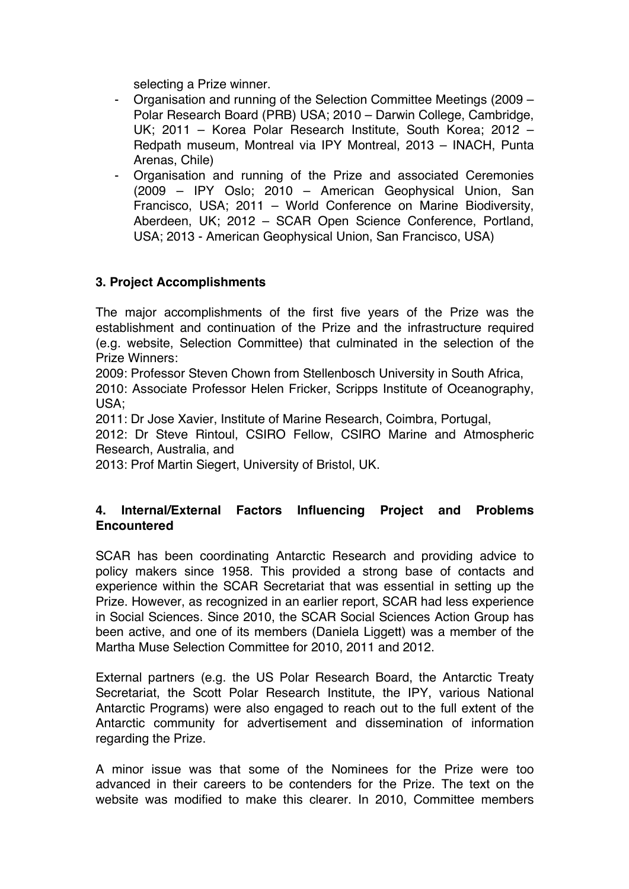selecting a Prize winner.

- Organisation and running of the Selection Committee Meetings (2009 Polar Research Board (PRB) USA; 2010 – Darwin College, Cambridge, UK; 2011 – Korea Polar Research Institute, South Korea; 2012 – Redpath museum, Montreal via IPY Montreal, 2013 – INACH, Punta Arenas, Chile)
- Organisation and running of the Prize and associated Ceremonies (2009 – IPY Oslo; 2010 – American Geophysical Union, San Francisco, USA; 2011 – World Conference on Marine Biodiversity, Aberdeen, UK; 2012 – SCAR Open Science Conference, Portland, USA; 2013 - American Geophysical Union, San Francisco, USA)

### **3. Project Accomplishments**

The major accomplishments of the first five years of the Prize was the establishment and continuation of the Prize and the infrastructure required (e.g. website, Selection Committee) that culminated in the selection of the Prize Winners:

2009: Professor Steven Chown from Stellenbosch University in South Africa,

2010: Associate Professor Helen Fricker, Scripps Institute of Oceanography, USA;

2011: Dr Jose Xavier, Institute of Marine Research, Coimbra, Portugal,

2012: Dr Steve Rintoul, CSIRO Fellow, CSIRO Marine and Atmospheric Research, Australia, and

2013: Prof Martin Siegert, University of Bristol, UK.

### **4. Internal/External Factors Influencing Project and Problems Encountered**

SCAR has been coordinating Antarctic Research and providing advice to policy makers since 1958. This provided a strong base of contacts and experience within the SCAR Secretariat that was essential in setting up the Prize. However, as recognized in an earlier report, SCAR had less experience in Social Sciences. Since 2010, the SCAR Social Sciences Action Group has been active, and one of its members (Daniela Liggett) was a member of the Martha Muse Selection Committee for 2010, 2011 and 2012.

External partners (e.g. the US Polar Research Board, the Antarctic Treaty Secretariat, the Scott Polar Research Institute, the IPY, various National Antarctic Programs) were also engaged to reach out to the full extent of the Antarctic community for advertisement and dissemination of information regarding the Prize.

A minor issue was that some of the Nominees for the Prize were too advanced in their careers to be contenders for the Prize. The text on the website was modified to make this clearer. In 2010, Committee members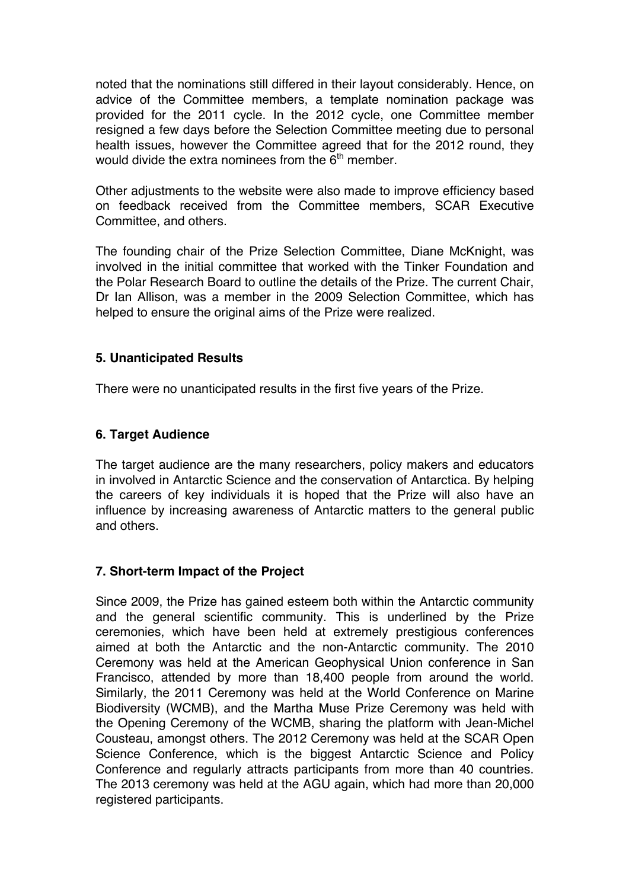noted that the nominations still differed in their layout considerably. Hence, on advice of the Committee members, a template nomination package was provided for the 2011 cycle. In the 2012 cycle, one Committee member resigned a few days before the Selection Committee meeting due to personal health issues, however the Committee agreed that for the 2012 round, they would divide the extra nominees from the  $6<sup>th</sup>$  member.

Other adjustments to the website were also made to improve efficiency based on feedback received from the Committee members, SCAR Executive Committee, and others.

The founding chair of the Prize Selection Committee, Diane McKnight, was involved in the initial committee that worked with the Tinker Foundation and the Polar Research Board to outline the details of the Prize. The current Chair, Dr Ian Allison, was a member in the 2009 Selection Committee, which has helped to ensure the original aims of the Prize were realized.

### **5. Unanticipated Results**

There were no unanticipated results in the first five years of the Prize.

### **6. Target Audience**

The target audience are the many researchers, policy makers and educators in involved in Antarctic Science and the conservation of Antarctica. By helping the careers of key individuals it is hoped that the Prize will also have an influence by increasing awareness of Antarctic matters to the general public and others.

# **7. Short-term Impact of the Project**

Since 2009, the Prize has gained esteem both within the Antarctic community and the general scientific community. This is underlined by the Prize ceremonies, which have been held at extremely prestigious conferences aimed at both the Antarctic and the non-Antarctic community. The 2010 Ceremony was held at the American Geophysical Union conference in San Francisco, attended by more than 18,400 people from around the world. Similarly, the 2011 Ceremony was held at the World Conference on Marine Biodiversity (WCMB), and the Martha Muse Prize Ceremony was held with the Opening Ceremony of the WCMB, sharing the platform with Jean-Michel Cousteau, amongst others. The 2012 Ceremony was held at the SCAR Open Science Conference, which is the biggest Antarctic Science and Policy Conference and regularly attracts participants from more than 40 countries. The 2013 ceremony was held at the AGU again, which had more than 20,000 registered participants.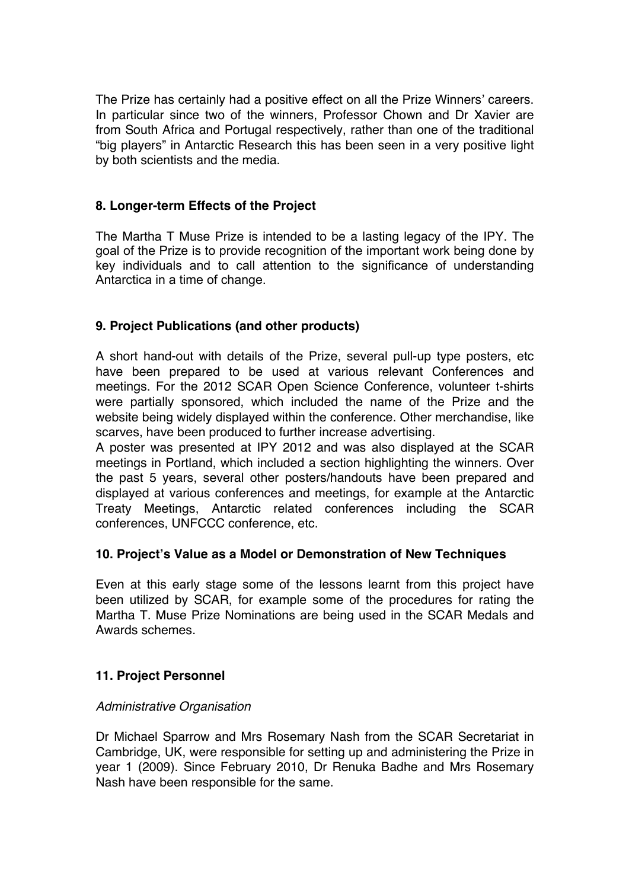The Prize has certainly had a positive effect on all the Prize Winners' careers. In particular since two of the winners, Professor Chown and Dr Xavier are from South Africa and Portugal respectively, rather than one of the traditional "big players" in Antarctic Research this has been seen in a very positive light by both scientists and the media.

## **8. Longer-term Effects of the Project**

The Martha T Muse Prize is intended to be a lasting legacy of the IPY. The goal of the Prize is to provide recognition of the important work being done by key individuals and to call attention to the significance of understanding Antarctica in a time of change.

### **9. Project Publications (and other products)**

A short hand-out with details of the Prize, several pull-up type posters, etc have been prepared to be used at various relevant Conferences and meetings. For the 2012 SCAR Open Science Conference, volunteer t-shirts were partially sponsored, which included the name of the Prize and the website being widely displayed within the conference. Other merchandise, like scarves, have been produced to further increase advertising.

A poster was presented at IPY 2012 and was also displayed at the SCAR meetings in Portland, which included a section highlighting the winners. Over the past 5 years, several other posters/handouts have been prepared and displayed at various conferences and meetings, for example at the Antarctic Treaty Meetings, Antarctic related conferences including the SCAR conferences, UNFCCC conference, etc.

#### **10. Project's Value as a Model or Demonstration of New Techniques**

Even at this early stage some of the lessons learnt from this project have been utilized by SCAR, for example some of the procedures for rating the Martha T. Muse Prize Nominations are being used in the SCAR Medals and Awards schemes.

#### **11. Project Personnel**

#### *Administrative Organisation*

Dr Michael Sparrow and Mrs Rosemary Nash from the SCAR Secretariat in Cambridge, UK, were responsible for setting up and administering the Prize in year 1 (2009). Since February 2010, Dr Renuka Badhe and Mrs Rosemary Nash have been responsible for the same.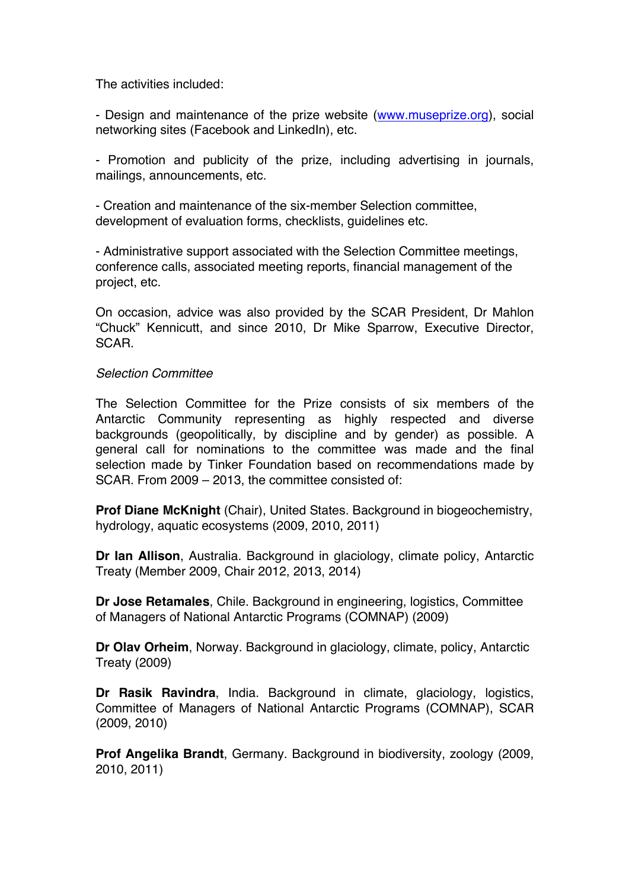The activities included:

- Design and maintenance of the prize website (www.museprize.org), social networking sites (Facebook and LinkedIn), etc.

- Promotion and publicity of the prize, including advertising in journals, mailings, announcements, etc.

- Creation and maintenance of the six-member Selection committee, development of evaluation forms, checklists, guidelines etc.

- Administrative support associated with the Selection Committee meetings, conference calls, associated meeting reports, financial management of the project, etc.

On occasion, advice was also provided by the SCAR President, Dr Mahlon "Chuck" Kennicutt, and since 2010, Dr Mike Sparrow, Executive Director, SCAR.

#### *Selection Committee*

The Selection Committee for the Prize consists of six members of the Antarctic Community representing as highly respected and diverse backgrounds (geopolitically, by discipline and by gender) as possible. A general call for nominations to the committee was made and the final selection made by Tinker Foundation based on recommendations made by SCAR. From 2009 – 2013, the committee consisted of:

**Prof Diane McKnight** (Chair), United States. Background in biogeochemistry, hydrology, aquatic ecosystems (2009, 2010, 2011)

**Dr Ian Allison**, Australia. Background in glaciology, climate policy, Antarctic Treaty (Member 2009, Chair 2012, 2013, 2014)

**Dr Jose Retamales**, Chile. Background in engineering, logistics, Committee of Managers of National Antarctic Programs (COMNAP) (2009)

**Dr Olav Orheim**, Norway. Background in glaciology, climate, policy, Antarctic Treaty (2009)

**Dr Rasik Ravindra**, India. Background in climate, glaciology, logistics, Committee of Managers of National Antarctic Programs (COMNAP), SCAR (2009, 2010)

**Prof Angelika Brandt**, Germany. Background in biodiversity, zoology (2009, 2010, 2011)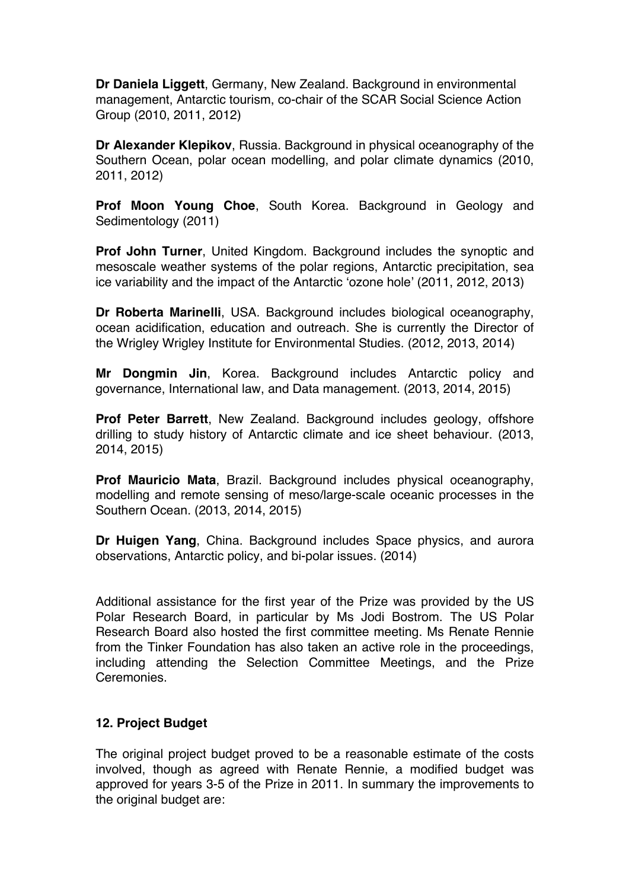**Dr Daniela Liggett**, Germany, New Zealand. Background in environmental management, Antarctic tourism, co-chair of the SCAR Social Science Action Group (2010, 2011, 2012)

**Dr Alexander Klepikov**, Russia. Background in physical oceanography of the Southern Ocean, polar ocean modelling, and polar climate dynamics (2010, 2011, 2012)

**Prof Moon Young Choe**, South Korea. Background in Geology and Sedimentology (2011)

**Prof John Turner**, United Kingdom. Background includes the synoptic and mesoscale weather systems of the polar regions, Antarctic precipitation, sea ice variability and the impact of the Antarctic 'ozone hole' (2011, 2012, 2013)

**Dr Roberta Marinelli**, USA. Background includes biological oceanography, ocean acidification, education and outreach. She is currently the Director of the Wrigley Wrigley Institute for Environmental Studies. (2012, 2013, 2014)

**Mr Dongmin Jin**, Korea. Background includes Antarctic policy and governance, International law, and Data management. (2013, 2014, 2015)

**Prof Peter Barrett**, New Zealand. Background includes geology, offshore drilling to study history of Antarctic climate and ice sheet behaviour. (2013, 2014, 2015)

**Prof Mauricio Mata**, Brazil. Background includes physical oceanography, modelling and remote sensing of meso/large-scale oceanic processes in the Southern Ocean. (2013, 2014, 2015)

**Dr Huigen Yang**, China. Background includes Space physics, and aurora observations, Antarctic policy, and bi-polar issues. (2014)

Additional assistance for the first year of the Prize was provided by the US Polar Research Board, in particular by Ms Jodi Bostrom. The US Polar Research Board also hosted the first committee meeting. Ms Renate Rennie from the Tinker Foundation has also taken an active role in the proceedings, including attending the Selection Committee Meetings, and the Prize Ceremonies.

#### **12. Project Budget**

The original project budget proved to be a reasonable estimate of the costs involved, though as agreed with Renate Rennie, a modified budget was approved for years 3-5 of the Prize in 2011. In summary the improvements to the original budget are: